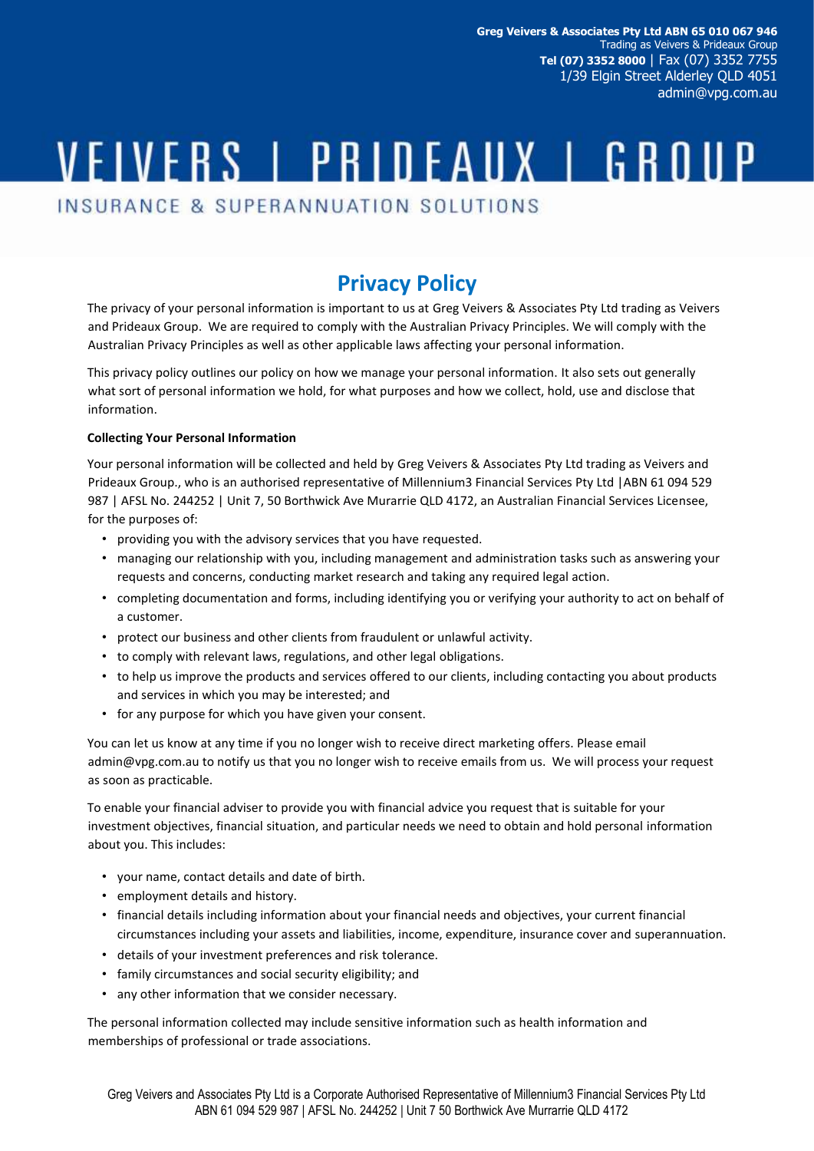**Greg Veivers & Associates Pty Ltd ABN 65 010 067 946** Trading as Veivers & Prideaux Group **Tel (07) 3352 8000** | Fax (07) 3352 7755 1/39 Elgin Street Alderley QLD 4051 admin@vpg.com.au

# VEIVERS | PRIDEAUX | GROUP

INSURANCE & SUPERANNUATION SOLUTIONS

## **Privacy Policy**

The privacy of your personal information is important to us at Greg Veivers & Associates Pty Ltd trading as Veivers and Prideaux Group. We are required to comply with the Australian Privacy Principles. We will comply with the Australian Privacy Principles as well as other applicable laws affecting your personal information.

This privacy policy outlines our policy on how we manage your personal information. It also sets out generally what sort of personal information we hold, for what purposes and how we collect, hold, use and disclose that information.

### **Collecting Your Personal Information**

Your personal information will be collected and held by Greg Veivers & Associates Pty Ltd trading as Veivers and Prideaux Group., who is an authorised representative of Millennium3 Financial Services Pty Ltd |ABN 61 094 529 987 | AFSL No. 244252 | Unit 7, 50 Borthwick Ave Murarrie QLD 4172, an Australian Financial Services Licensee, for the purposes of:

- providing you with the advisory services that you have requested.
- managing our relationship with you, including management and administration tasks such as answering your requests and concerns, conducting market research and taking any required legal action.
- completing documentation and forms, including identifying you or verifying your authority to act on behalf of a customer.
- protect our business and other clients from fraudulent or unlawful activity.
- to comply with relevant laws, regulations, and other legal obligations.
- to help us improve the products and services offered to our clients, including contacting you about products and services in which you may be interested; and
- for any purpose for which you have given your consent.

You can let us know at any time if you no longer wish to receive direct marketing offers. Please email admin@vpg.com.au to notify us that you no longer wish to receive emails from us. We will process your request as soon as practicable.

To enable your financial adviser to provide you with financial advice you request that is suitable for your investment objectives, financial situation, and particular needs we need to obtain and hold personal information about you. This includes:

- your name, contact details and date of birth.
- employment details and history.
- financial details including information about your financial needs and objectives, your current financial circumstances including your assets and liabilities, income, expenditure, insurance cover and superannuation.
- details of your investment preferences and risk tolerance.
- family circumstances and social security eligibility; and
- any other information that we consider necessary.

The personal information collected may include sensitive information such as health information and memberships of professional or trade associations.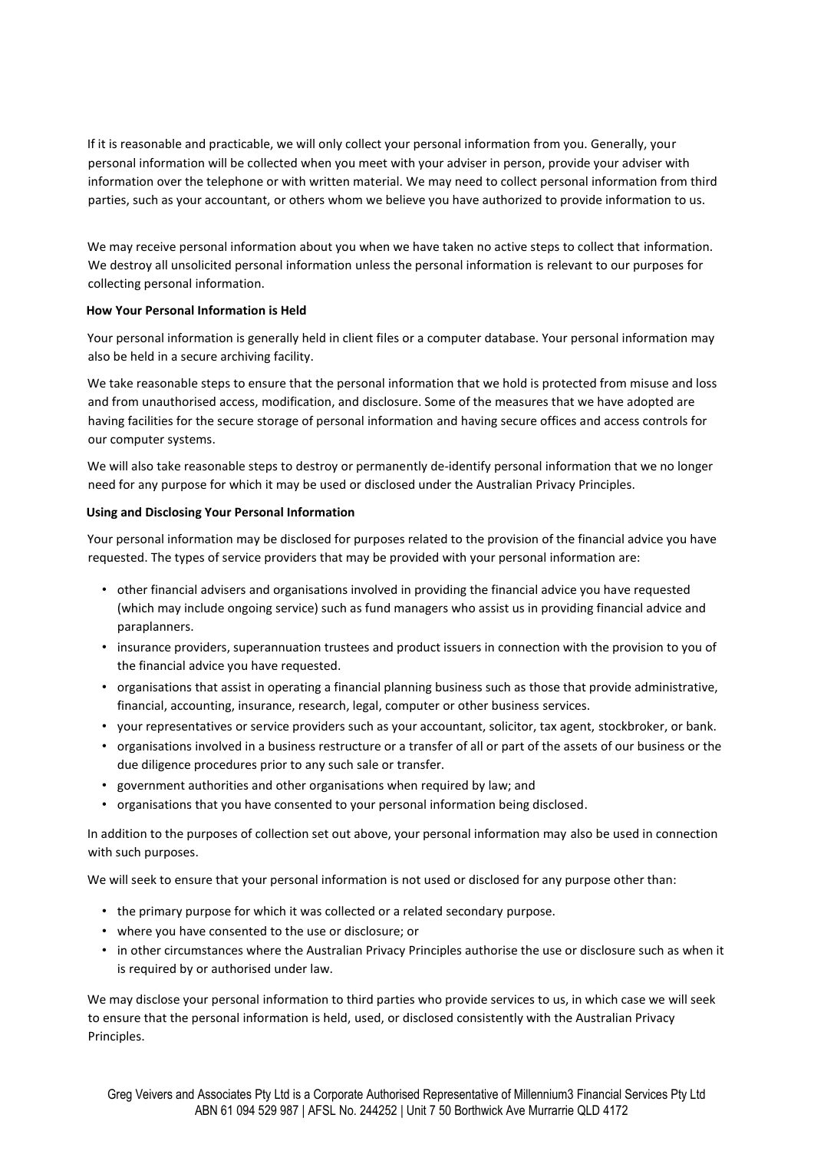If it is reasonable and practicable, we will only collect your personal information from you. Generally, your personal information will be collected when you meet with your adviser in person, provide your adviser with information over the telephone or with written material. We may need to collect personal information from third parties, such as your accountant, or others whom we believe you have authorized to provide information to us.

We may receive personal information about you when we have taken no active steps to collect that information. We destroy all unsolicited personal information unless the personal information is relevant to our purposes for collecting personal information.

#### **How Your Personal Information is Held**

Your personal information is generally held in client files or a computer database. Your personal information may also be held in a secure archiving facility.

We take reasonable steps to ensure that the personal information that we hold is protected from misuse and loss and from unauthorised access, modification, and disclosure. Some of the measures that we have adopted are having facilities for the secure storage of personal information and having secure offices and access controls for our computer systems.

We will also take reasonable steps to destroy or permanently de-identify personal information that we no longer need for any purpose for which it may be used or disclosed under the Australian Privacy Principles.

#### **Using and Disclosing Your Personal Information**

Your personal information may be disclosed for purposes related to the provision of the financial advice you have requested. The types of service providers that may be provided with your personal information are:

- other financial advisers and organisations involved in providing the financial advice you have requested (which may include ongoing service) such as fund managers who assist us in providing financial advice and paraplanners.
- insurance providers, superannuation trustees and product issuers in connection with the provision to you of the financial advice you have requested.
- organisations that assist in operating a financial planning business such as those that provide administrative, financial, accounting, insurance, research, legal, computer or other business services.
- your representatives or service providers such as your accountant, solicitor, tax agent, stockbroker, or bank.
- organisations involved in a business restructure or a transfer of all or part of the assets of our business or the due diligence procedures prior to any such sale or transfer.
- government authorities and other organisations when required by law; and
- organisations that you have consented to your personal information being disclosed.

In addition to the purposes of collection set out above, your personal information may also be used in connection with such purposes.

We will seek to ensure that your personal information is not used or disclosed for any purpose other than:

- the primary purpose for which it was collected or a related secondary purpose.
- where you have consented to the use or disclosure; or
- in other circumstances where the Australian Privacy Principles authorise the use or disclosure such as when it is required by or authorised under law.

We may disclose your personal information to third parties who provide services to us, in which case we will seek to ensure that the personal information is held, used, or disclosed consistently with the Australian Privacy Principles.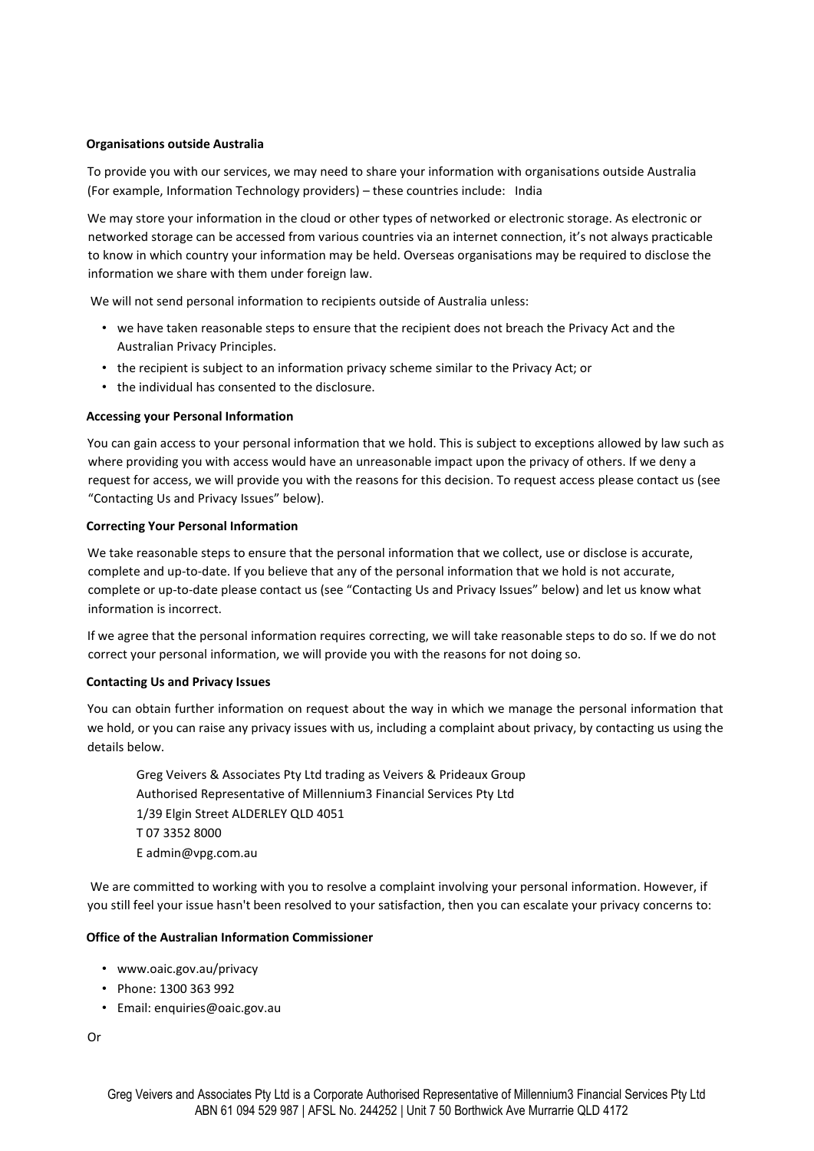#### **Organisations outside Australia**

To provide you with our services, we may need to share your information with organisations outside Australia (For example, Information Technology providers) – these countries include: India

We may store your information in the cloud or other types of networked or electronic storage. As electronic or networked storage can be accessed from various countries via an internet connection, it's not always practicable to know in which country your information may be held. Overseas organisations may be required to disclose the information we share with them under foreign law.

We will not send personal information to recipients outside of Australia unless:

- we have taken reasonable steps to ensure that the recipient does not breach the Privacy Act and the Australian Privacy Principles.
- the recipient is subject to an information privacy scheme similar to the Privacy Act; or
- the individual has consented to the disclosure.

#### **Accessing your Personal Information**

You can gain access to your personal information that we hold. This is subject to exceptions allowed by law such as where providing you with access would have an unreasonable impact upon the privacy of others. If we deny a request for access, we will provide you with the reasons for this decision. To request access please contact us (see "Contacting Us and Privacy Issues" below).

#### **Correcting Your Personal Information**

We take reasonable steps to ensure that the personal information that we collect, use or disclose is accurate, complete and up-to-date. If you believe that any of the personal information that we hold is not accurate, complete or up-to-date please contact us (see "Contacting Us and Privacy Issues" below) and let us know what information is incorrect.

If we agree that the personal information requires correcting, we will take reasonable steps to do so. If we do not correct your personal information, we will provide you with the reasons for not doing so.

#### **Contacting Us and Privacy Issues**

You can obtain further information on request about the way in which we manage the personal information that we hold, or you can raise any privacy issues with us, including a complaint about privacy, by contacting us using the details below.

Greg Veivers & Associates Pty Ltd trading as Veivers & Prideaux Group Authorised Representative of Millennium3 Financial Services Pty Ltd 1/39 Elgin Street ALDERLEY QLD 4051 T 07 3352 8000 E admin@vpg.com.au

We are committed to working with you to resolve a complaint involving your personal information. However, if you still feel your issue hasn't been resolved to your satisfaction, then you can escalate your privacy concerns to:

#### **Office of the Australian Information Commissioner**

- www.oaic.gov.au/privacy
- Phone: 1300 363 992
- Email: enquiries@oaic.gov.au

Or